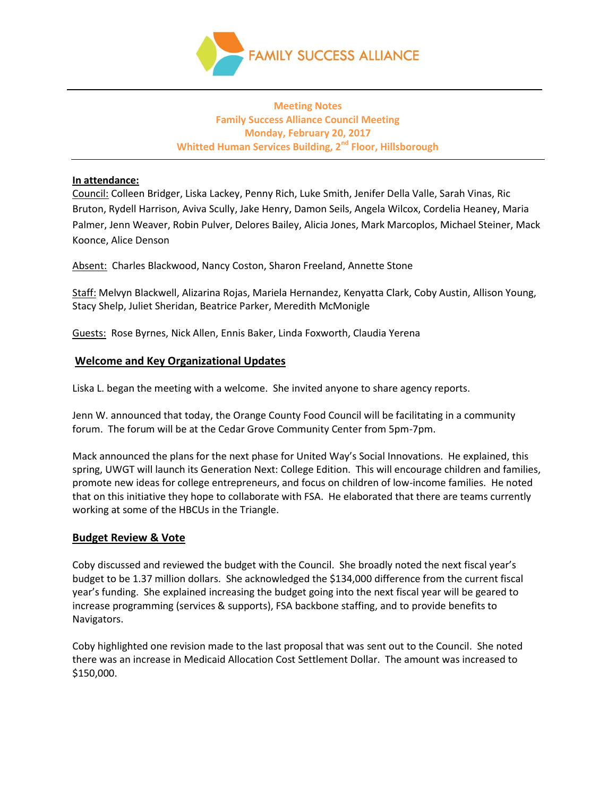

# **Meeting Notes Family Success Alliance Council Meeting Monday, February 20, 2017 Whitted Human Services Building, 2nd Floor, Hillsborough**

## **In attendance:**

Council: Colleen Bridger, Liska Lackey, Penny Rich, Luke Smith, Jenifer Della Valle, Sarah Vinas, Ric Bruton, Rydell Harrison, Aviva Scully, Jake Henry, Damon Seils, Angela Wilcox, Cordelia Heaney, Maria Palmer, Jenn Weaver, Robin Pulver, Delores Bailey, Alicia Jones, Mark Marcoplos, Michael Steiner, Mack Koonce, Alice Denson

Absent: Charles Blackwood, Nancy Coston, Sharon Freeland, Annette Stone

Staff: Melvyn Blackwell, Alizarina Rojas, Mariela Hernandez, Kenyatta Clark, Coby Austin, Allison Young, Stacy Shelp, Juliet Sheridan, Beatrice Parker, Meredith McMonigle

Guests: Rose Byrnes, Nick Allen, Ennis Baker, Linda Foxworth, Claudia Yerena

## **Welcome and Key Organizational Updates**

Liska L. began the meeting with a welcome. She invited anyone to share agency reports.

Jenn W. announced that today, the Orange County Food Council will be facilitating in a community forum. The forum will be at the Cedar Grove Community Center from 5pm-7pm.

Mack announced the plans for the next phase for United Way's Social Innovations. He explained, this spring, UWGT will launch its Generation Next: College Edition. This will encourage children and families, promote new ideas for college entrepreneurs, and focus on children of low-income families. He noted that on this initiative they hope to collaborate with FSA. He elaborated that there are teams currently working at some of the HBCUs in the Triangle.

#### **Budget Review & Vote**

Coby discussed and reviewed the budget with the Council. She broadly noted the next fiscal year's budget to be 1.37 million dollars. She acknowledged the \$134,000 difference from the current fiscal year's funding. She explained increasing the budget going into the next fiscal year will be geared to increase programming (services & supports), FSA backbone staffing, and to provide benefits to Navigators.

Coby highlighted one revision made to the last proposal that was sent out to the Council. She noted there was an increase in Medicaid Allocation Cost Settlement Dollar. The amount was increased to \$150,000.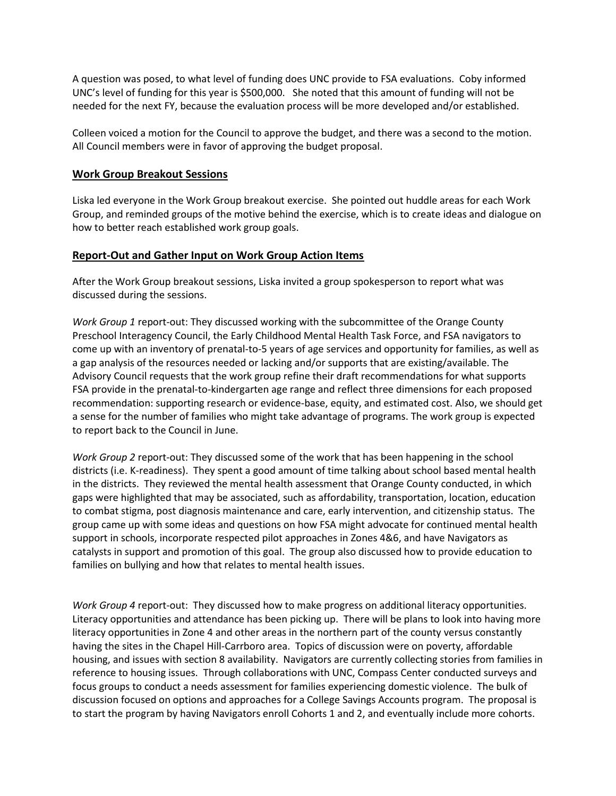A question was posed, to what level of funding does UNC provide to FSA evaluations. Coby informed UNC's level of funding for this year is \$500,000. She noted that this amount of funding will not be needed for the next FY, because the evaluation process will be more developed and/or established.

Colleen voiced a motion for the Council to approve the budget, and there was a second to the motion. All Council members were in favor of approving the budget proposal.

## **Work Group Breakout Sessions**

Liska led everyone in the Work Group breakout exercise. She pointed out huddle areas for each Work Group, and reminded groups of the motive behind the exercise, which is to create ideas and dialogue on how to better reach established work group goals.

### **Report-Out and Gather Input on Work Group Action Items**

After the Work Group breakout sessions, Liska invited a group spokesperson to report what was discussed during the sessions.

*Work Group 1* report-out: They discussed working with the subcommittee of the Orange County Preschool Interagency Council, the Early Childhood Mental Health Task Force, and FSA navigators to come up with an inventory of prenatal-to-5 years of age services and opportunity for families, as well as a gap analysis of the resources needed or lacking and/or supports that are existing/available. The Advisory Council requests that the work group refine their draft recommendations for what supports FSA provide in the prenatal-to-kindergarten age range and reflect three dimensions for each proposed recommendation: supporting research or evidence-base, equity, and estimated cost. Also, we should get a sense for the number of families who might take advantage of programs. The work group is expected to report back to the Council in June.

*Work Group 2* report-out: They discussed some of the work that has been happening in the school districts (i.e. K-readiness). They spent a good amount of time talking about school based mental health in the districts. They reviewed the mental health assessment that Orange County conducted, in which gaps were highlighted that may be associated, such as affordability, transportation, location, education to combat stigma, post diagnosis maintenance and care, early intervention, and citizenship status. The group came up with some ideas and questions on how FSA might advocate for continued mental health support in schools, incorporate respected pilot approaches in Zones 4&6, and have Navigators as catalysts in support and promotion of this goal. The group also discussed how to provide education to families on bullying and how that relates to mental health issues.

*Work Group 4* report-out: They discussed how to make progress on additional literacy opportunities. Literacy opportunities and attendance has been picking up. There will be plans to look into having more literacy opportunities in Zone 4 and other areas in the northern part of the county versus constantly having the sites in the Chapel Hill-Carrboro area. Topics of discussion were on poverty, affordable housing, and issues with section 8 availability. Navigators are currently collecting stories from families in reference to housing issues. Through collaborations with UNC, Compass Center conducted surveys and focus groups to conduct a needs assessment for families experiencing domestic violence. The bulk of discussion focused on options and approaches for a College Savings Accounts program. The proposal is to start the program by having Navigators enroll Cohorts 1 and 2, and eventually include more cohorts.